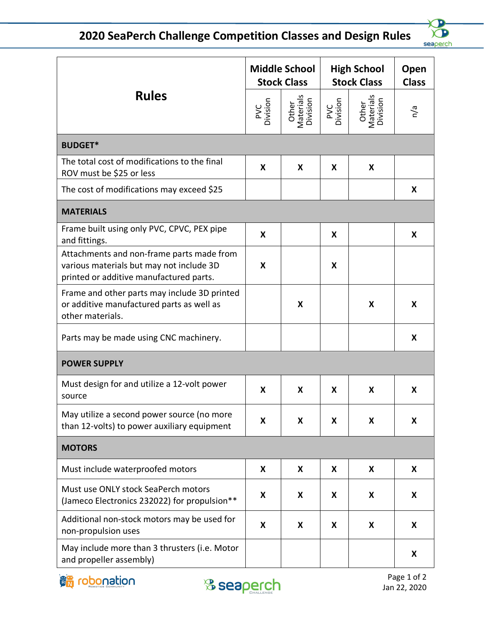## **2020 SeaPerch Challenge Competition Classes and Design Rules**



| <b>Rules</b>                                                                                                                     | <b>Middle School</b><br><b>Stock Class</b> |                                | <b>High School</b><br><b>Stock Class</b> |                                | Open<br><b>Class</b> |  |  |  |
|----------------------------------------------------------------------------------------------------------------------------------|--------------------------------------------|--------------------------------|------------------------------------------|--------------------------------|----------------------|--|--|--|
|                                                                                                                                  | PVC<br>Division                            | Other<br>Materials<br>Division | PVC<br>Division                          | Other<br>Materials<br>Division | n/a                  |  |  |  |
| <b>BUDGET*</b>                                                                                                                   |                                            |                                |                                          |                                |                      |  |  |  |
| The total cost of modifications to the final<br>ROV must be \$25 or less                                                         | X                                          | X                              | X                                        | X                              |                      |  |  |  |
| The cost of modifications may exceed \$25                                                                                        |                                            |                                |                                          |                                | X                    |  |  |  |
| <b>MATERIALS</b>                                                                                                                 |                                            |                                |                                          |                                |                      |  |  |  |
| Frame built using only PVC, CPVC, PEX pipe<br>and fittings.                                                                      | X                                          |                                | X                                        |                                | X                    |  |  |  |
| Attachments and non-frame parts made from<br>various materials but may not include 3D<br>printed or additive manufactured parts. | X                                          |                                | X                                        |                                |                      |  |  |  |
| Frame and other parts may include 3D printed<br>or additive manufactured parts as well as<br>other materials.                    |                                            | X                              |                                          | X                              | X                    |  |  |  |
| Parts may be made using CNC machinery.                                                                                           |                                            |                                |                                          |                                | X                    |  |  |  |
| <b>POWER SUPPLY</b>                                                                                                              |                                            |                                |                                          |                                |                      |  |  |  |
| Must design for and utilize a 12-volt power<br>source                                                                            | X                                          | X                              | X                                        | X                              | X                    |  |  |  |
| May utilize a second power source (no more<br>than 12-volts) to power auxiliary equipment                                        | X                                          | X                              | X                                        | X                              | X                    |  |  |  |
| <b>MOTORS</b>                                                                                                                    |                                            |                                |                                          |                                |                      |  |  |  |
| Must include waterproofed motors                                                                                                 | X                                          | X                              | X                                        | X                              | X                    |  |  |  |
| Must use ONLY stock SeaPerch motors<br>(Jameco Electronics 232022) for propulsion**                                              | X                                          | X                              | X                                        | X                              | X                    |  |  |  |
| Additional non-stock motors may be used for<br>non-propulsion uses                                                               | X                                          | X                              | X                                        | X                              | X                    |  |  |  |
| May include more than 3 thrusters (i.e. Motor<br>and propeller assembly)                                                         |                                            |                                |                                          |                                | X                    |  |  |  |



Page 1 of 2 Jan 22, 2020